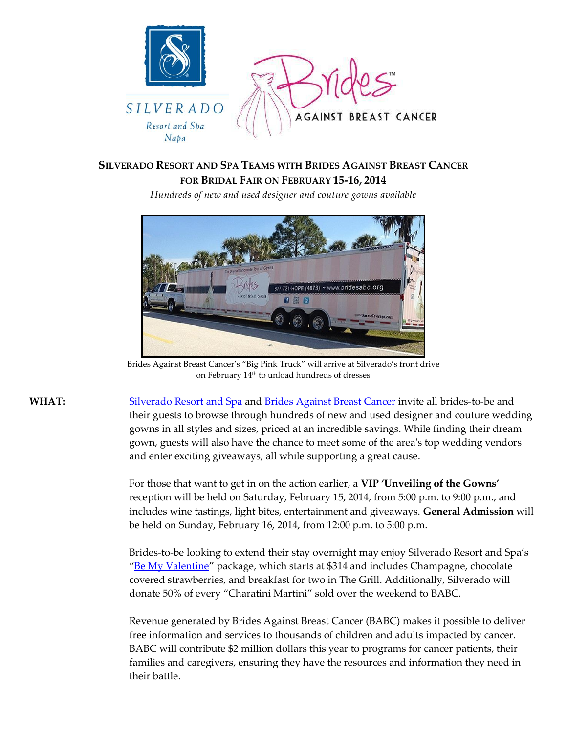

## **SILVERADO RESORT AND SPA TEAMS WITH BRIDES AGAINST BREAST CANCER FOR BRIDAL FAIR ON FEBRUARY 15-16, 2014**

*Hundreds of new and used designer and couture gowns available* 



Brides Against Breast Cancer's "Big Pink Truck" will arrive at Silverado's front drive on February 14th to unload hundreds of dresses

WHAT: [Silverado Resort and Spa](http://www.silveradoresort.com/) and [Brides Against Breast Cancer](http://www.bridesagainstbreastcancer.org/) invite all brides-to-be and their guests to browse through hundreds of new and used designer and couture wedding gowns in all styles and sizes, priced at an incredible savings. While finding their dream gown, guests will also have the chance to meet some of the area's top wedding vendors and enter exciting giveaways, all while supporting a great cause.

> For those that want to get in on the action earlier, a **VIP 'Unveiling of the Gowns'** reception will be held on Saturday, February 15, 2014, from 5:00 p.m. to 9:00 p.m., and includes wine tastings, light bites, entertainment and giveaways. **General Admission** will be held on Sunday, February 16, 2014, from 12:00 p.m. to 5:00 p.m.

Brides-to-be looking to extend their stay overnight may enjoy Silverado Resort and Spa's "[Be My Valentine](mailto:http://www.silveradoresort.com/promotions/valentine.asp)" package, which starts at \$314 and includes Champagne, chocolate covered strawberries, and breakfast for two in The Grill. Additionally, Silverado will donate 50% of every "Charatini Martini" sold over the weekend to BABC.

Revenue generated by Brides Against Breast Cancer (BABC) makes it possible to deliver free information and services to thousands of children and adults impacted by cancer. BABC will contribute \$2 million dollars this year to programs for cancer patients, their families and caregivers, ensuring they have the resources and information they need in their battle.